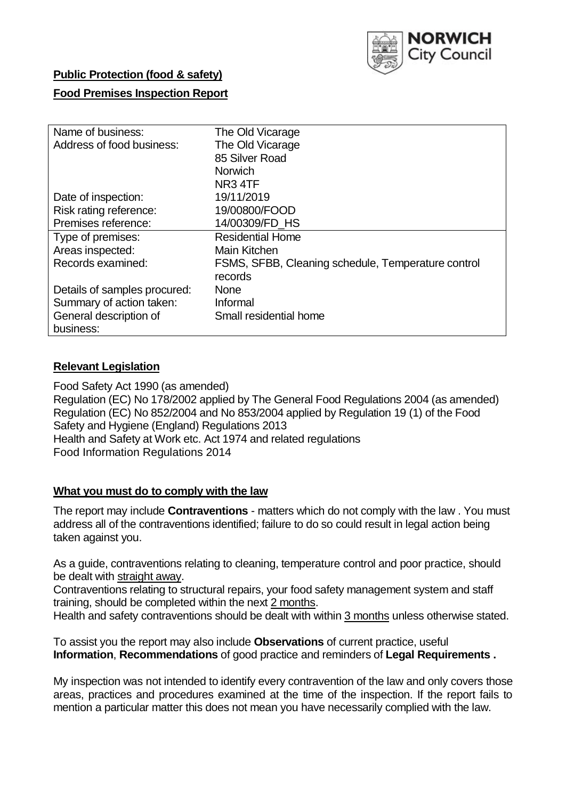

# **Public Protection (food & safety)**

### **Food Premises Inspection Report**

| Name of business:            | The Old Vicarage                                   |  |  |  |  |  |
|------------------------------|----------------------------------------------------|--|--|--|--|--|
| Address of food business:    | The Old Vicarage                                   |  |  |  |  |  |
|                              | 85 Silver Road                                     |  |  |  |  |  |
|                              | <b>Norwich</b>                                     |  |  |  |  |  |
|                              | NR <sub>3</sub> 4TF                                |  |  |  |  |  |
| Date of inspection:          | 19/11/2019                                         |  |  |  |  |  |
| Risk rating reference:       | 19/00800/FOOD                                      |  |  |  |  |  |
| Premises reference:          | 14/00309/FD HS                                     |  |  |  |  |  |
| Type of premises:            | <b>Residential Home</b>                            |  |  |  |  |  |
| Areas inspected:             | Main Kitchen                                       |  |  |  |  |  |
| Records examined:            | FSMS, SFBB, Cleaning schedule, Temperature control |  |  |  |  |  |
|                              | records                                            |  |  |  |  |  |
| Details of samples procured: | <b>None</b>                                        |  |  |  |  |  |
| Summary of action taken:     | Informal                                           |  |  |  |  |  |
| General description of       | Small residential home                             |  |  |  |  |  |
| business:                    |                                                    |  |  |  |  |  |

#### **Relevant Legislation**

Food Safety Act 1990 (as amended) Regulation (EC) No 178/2002 applied by The General Food Regulations 2004 (as amended) Regulation (EC) No 852/2004 and No 853/2004 applied by Regulation 19 (1) of the Food Safety and Hygiene (England) Regulations 2013 Health and Safety at Work etc. Act 1974 and related regulations Food Information Regulations 2014

#### **What you must do to comply with the law**

The report may include **Contraventions** - matters which do not comply with the law . You must address all of the contraventions identified; failure to do so could result in legal action being taken against you.

As a guide, contraventions relating to cleaning, temperature control and poor practice, should be dealt with straight away.

Contraventions relating to structural repairs, your food safety management system and staff training, should be completed within the next 2 months.

Health and safety contraventions should be dealt with within 3 months unless otherwise stated.

To assist you the report may also include **Observations** of current practice, useful **Information**, **Recommendations** of good practice and reminders of **Legal Requirements .**

My inspection was not intended to identify every contravention of the law and only covers those areas, practices and procedures examined at the time of the inspection. If the report fails to mention a particular matter this does not mean you have necessarily complied with the law.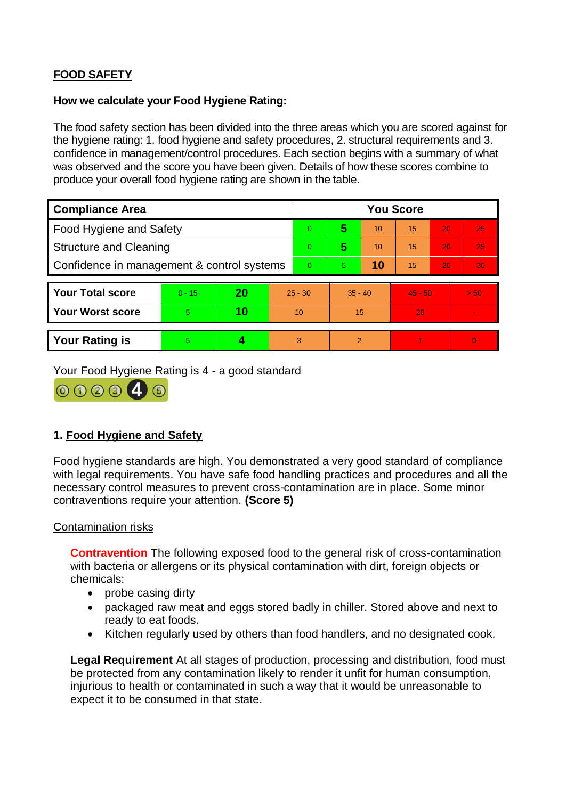# **FOOD SAFETY**

# **How we calculate your Food Hygiene Rating:**

The food safety section has been divided into the three areas which you are scored against for the hygiene rating: 1. food hygiene and safety procedures, 2. structural requirements and 3. confidence in management/control procedures. Each section begins with a summary of what was observed and the score you have been given. Details of how these scores combine to produce your overall food hygiene rating are shown in the table.

| <b>Compliance Area</b>                     |          |    |           | <b>You Score</b> |                |    |           |    |                |  |  |
|--------------------------------------------|----------|----|-----------|------------------|----------------|----|-----------|----|----------------|--|--|
| Food Hygiene and Safety                    |          |    |           | $\overline{0}$   | 5              | 10 | 15        | 20 | 25             |  |  |
| <b>Structure and Cleaning</b>              |          |    |           | $\Omega$         | 5              | 10 | 15        | 20 | 25             |  |  |
| Confidence in management & control systems |          |    |           | $\Omega$         | 5              | 10 | 15        | 20 | 30             |  |  |
|                                            |          |    |           |                  |                |    |           |    |                |  |  |
| <b>Your Total score</b>                    | $0 - 15$ | 20 | $25 - 30$ |                  | $35 - 40$      |    | $45 - 50$ |    | > 50           |  |  |
| <b>Your Worst score</b>                    | 5        | 10 | 10        |                  | 15             |    | 20        |    |                |  |  |
|                                            |          |    |           |                  |                |    |           |    |                |  |  |
| <b>Your Rating is</b>                      | 5        |    |           | 3                | $\overline{2}$ |    |           |    | $\overline{0}$ |  |  |

Your Food Hygiene Rating is 4 - a good standard



# **1. Food Hygiene and Safety**

Food hygiene standards are high. You demonstrated a very good standard of compliance with legal requirements. You have safe food handling practices and procedures and all the necessary control measures to prevent cross-contamination are in place. Some minor contraventions require your attention. **(Score 5)**

# Contamination risks

**Contravention** The following exposed food to the general risk of cross-contamination with bacteria or allergens or its physical contamination with dirt, foreign objects or chemicals:

- probe casing dirty
- packaged raw meat and eggs stored badly in chiller. Stored above and next to ready to eat foods.
- Kitchen regularly used by others than food handlers, and no designated cook.

**Legal Requirement** At all stages of production, processing and distribution, food must be protected from any contamination likely to render it unfit for human consumption, injurious to health or contaminated in such a way that it would be unreasonable to expect it to be consumed in that state.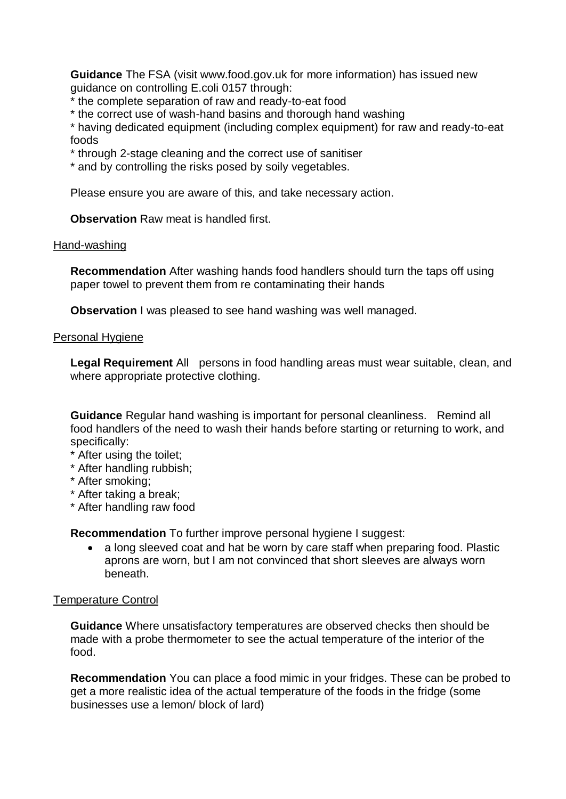**Guidance** The FSA (visit www.food.gov.uk for more information) has issued new guidance on controlling E.coli 0157 through:

- \* the complete separation of raw and ready-to-eat food
- \* the correct use of wash-hand basins and thorough hand washing

\* having dedicated equipment (including complex equipment) for raw and ready-to-eat foods

- \* through 2-stage cleaning and the correct use of sanitiser
- \* and by controlling the risks posed by soily vegetables.

Please ensure you are aware of this, and take necessary action.

**Observation** Raw meat is handled first.

#### Hand-washing

**Recommendation** After washing hands food handlers should turn the taps off using paper towel to prevent them from re contaminating their hands

**Observation** I was pleased to see hand washing was well managed.

### Personal Hygiene

**Legal Requirement** All persons in food handling areas must wear suitable, clean, and where appropriate protective clothing.

**Guidance** Regular hand washing is important for personal cleanliness. Remind all food handlers of the need to wash their hands before starting or returning to work, and specifically:

- \* After using the toilet;
- \* After handling rubbish;
- \* After smoking;
- \* After taking a break;
- \* After handling raw food

**Recommendation** To further improve personal hygiene I suggest:

• a long sleeved coat and hat be worn by care staff when preparing food. Plastic aprons are worn, but I am not convinced that short sleeves are always worn beneath.

# Temperature Control

**Guidance** Where unsatisfactory temperatures are observed checks then should be made with a probe thermometer to see the actual temperature of the interior of the food.

**Recommendation** You can place a food mimic in your fridges. These can be probed to get a more realistic idea of the actual temperature of the foods in the fridge (some businesses use a lemon/ block of lard)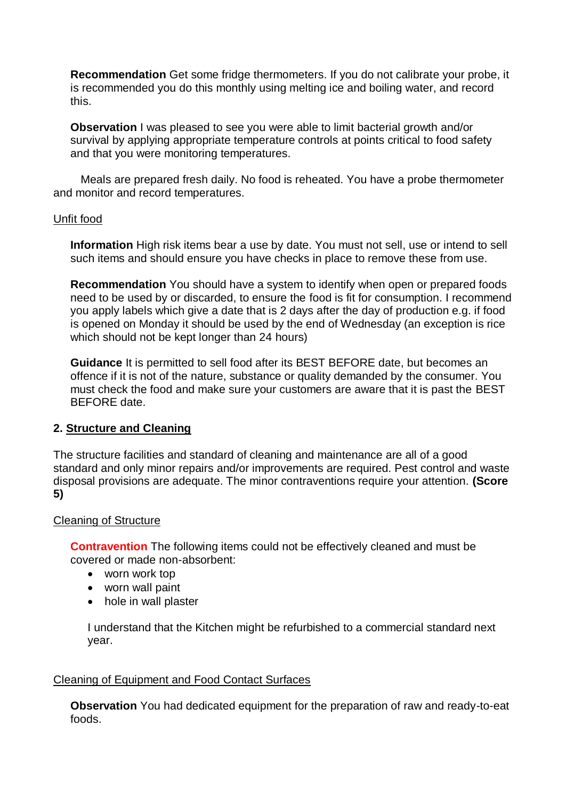**Recommendation** Get some fridge thermometers. If you do not calibrate your probe, it is recommended you do this monthly using melting ice and boiling water, and record this.

**Observation** I was pleased to see you were able to limit bacterial growth and/or survival by applying appropriate temperature controls at points critical to food safety and that you were monitoring temperatures.

Meals are prepared fresh daily. No food is reheated. You have a probe thermometer and monitor and record temperatures.

### Unfit food

**Information** High risk items bear a use by date. You must not sell, use or intend to sell such items and should ensure you have checks in place to remove these from use.

**Recommendation** You should have a system to identify when open or prepared foods need to be used by or discarded, to ensure the food is fit for consumption. I recommend you apply labels which give a date that is 2 days after the day of production e.g. if food is opened on Monday it should be used by the end of Wednesday (an exception is rice which should not be kept longer than 24 hours)

**Guidance** It is permitted to sell food after its BEST BEFORE date, but becomes an offence if it is not of the nature, substance or quality demanded by the consumer. You must check the food and make sure your customers are aware that it is past the BEST BEFORE date.

# **2. Structure and Cleaning**

The structure facilities and standard of cleaning and maintenance are all of a good standard and only minor repairs and/or improvements are required. Pest control and waste disposal provisions are adequate. The minor contraventions require your attention. **(Score 5)**

# Cleaning of Structure

**Contravention** The following items could not be effectively cleaned and must be covered or made non-absorbent:

- worn work top
- worn wall paint
- hole in wall plaster

I understand that the Kitchen might be refurbished to a commercial standard next year.

# Cleaning of Equipment and Food Contact Surfaces

**Observation** You had dedicated equipment for the preparation of raw and ready-to-eat foods.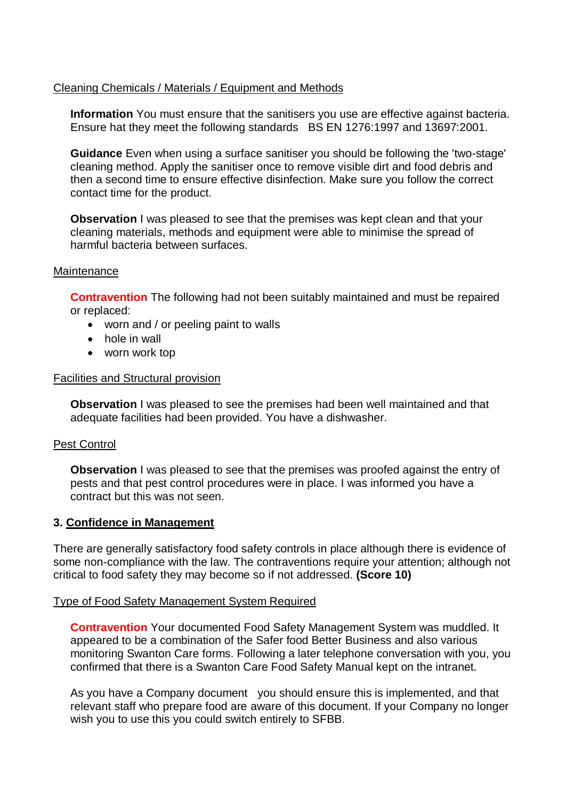# Cleaning Chemicals / Materials / Equipment and Methods

**Information** You must ensure that the sanitisers you use are effective against bacteria. Ensure hat they meet the following standards BS EN 1276:1997 and 13697:2001.

**Guidance** Even when using a surface sanitiser you should be following the 'two-stage' cleaning method. Apply the sanitiser once to remove visible dirt and food debris and then a second time to ensure effective disinfection. Make sure you follow the correct contact time for the product.

**Observation** I was pleased to see that the premises was kept clean and that your cleaning materials, methods and equipment were able to minimise the spread of harmful bacteria between surfaces.

### **Maintenance**

**Contravention** The following had not been suitably maintained and must be repaired or replaced:

- worn and / or peeling paint to walls
- hole in wall
- worn work top

### Facilities and Structural provision

**Observation** I was pleased to see the premises had been well maintained and that adequate facilities had been provided. You have a dishwasher.

# Pest Control

**Observation** I was pleased to see that the premises was proofed against the entry of pests and that pest control procedures were in place. I was informed you have a contract but this was not seen.

# **3. Confidence in Management**

There are generally satisfactory food safety controls in place although there is evidence of some non-compliance with the law. The contraventions require your attention; although not critical to food safety they may become so if not addressed. **(Score 10)**

#### Type of Food Safety Management System Required

**Contravention** Your documented Food Safety Management System was muddled. It appeared to be a combination of the Safer food Better Business and also various monitoring Swanton Care forms. Following a later telephone conversation with you, you confirmed that there is a Swanton Care Food Safety Manual kept on the intranet.

As you have a Company document you should ensure this is implemented, and that relevant staff who prepare food are aware of this document. If your Company no longer wish you to use this you could switch entirely to SFBB.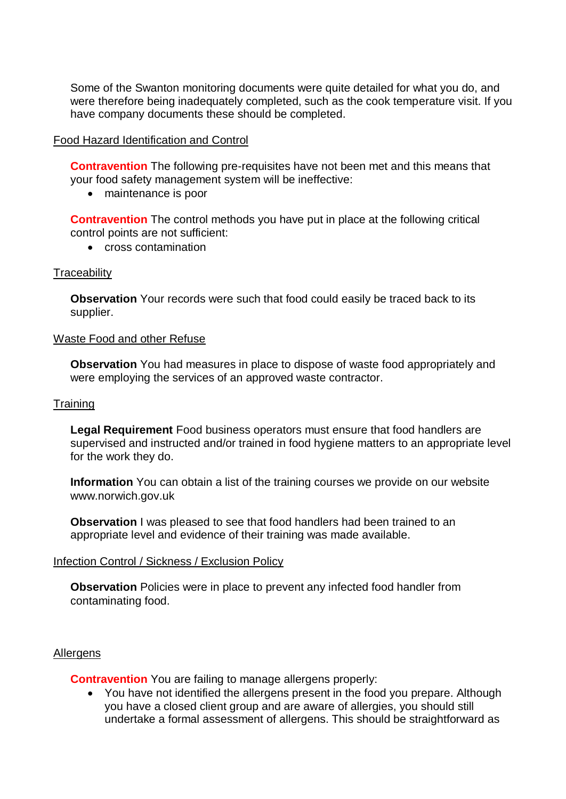Some of the Swanton monitoring documents were quite detailed for what you do, and were therefore being inadequately completed, such as the cook temperature visit. If you have company documents these should be completed.

### Food Hazard Identification and Control

**Contravention** The following pre-requisites have not been met and this means that your food safety management system will be ineffective:

• maintenance is poor

**Contravention** The control methods you have put in place at the following critical control points are not sufficient:

• cross contamination

#### **Traceability**

**Observation** Your records were such that food could easily be traced back to its supplier.

#### Waste Food and other Refuse

**Observation** You had measures in place to dispose of waste food appropriately and were employing the services of an approved waste contractor.

#### **Training**

**Legal Requirement** Food business operators must ensure that food handlers are supervised and instructed and/or trained in food hygiene matters to an appropriate level for the work they do.

**Information** You can obtain a list of the training courses we provide on our website www.norwich.gov.uk

**Observation** I was pleased to see that food handlers had been trained to an appropriate level and evidence of their training was made available.

#### Infection Control / Sickness / Exclusion Policy

**Observation** Policies were in place to prevent any infected food handler from contaminating food.

#### Allergens

**Contravention** You are failing to manage allergens properly:

 You have not identified the allergens present in the food you prepare. Although you have a closed client group and are aware of allergies, you should still undertake a formal assessment of allergens. This should be straightforward as